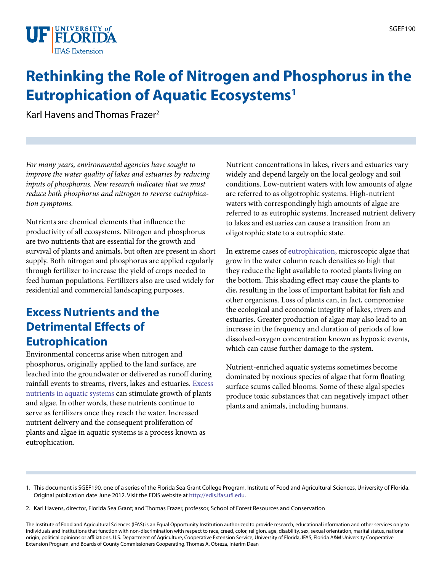

# **Rethinking the Role of Nitrogen and Phosphorus in the Eutrophication of Aquatic Ecosystems<sup>1</sup>**

Karl Havens and Thomas Frazer<sup>2</sup>

*For many years, environmental agencies have sought to improve the water quality of lakes and estuaries by reducing inputs of phosphorus. New research indicates that we must reduce both phosphorus and nitrogen to reverse eutrophication symptoms.*

Nutrients are chemical elements that influence the productivity of all ecosystems. Nitrogen and phosphorus are two nutrients that are essential for the growth and survival of plants and animals, but often are present in short supply. Both nitrogen and phosphorus are applied regularly through fertilizer to increase the yield of crops needed to feed human populations. Fertilizers also are used widely for residential and commercial landscaping purposes.

#### **Excess Nutrients and the Detrimental Effects of Eutrophication**

Environmental concerns arise when nitrogen and phosphorus, originally applied to the land surface, are leached into the groundwater or delivered as runoff during rainfall events to streams, rivers, lakes and estuaries. [Excess](http://edis.ifas.ufl.edu/sg061)  [nutrients in aquatic systems](http://edis.ifas.ufl.edu/sg061) can stimulate growth of plants and algae. In other words, these nutrients continue to serve as fertilizers once they reach the water. Increased nutrient delivery and the consequent proliferation of plants and algae in aquatic systems is a process known as eutrophication.

Nutrient concentrations in lakes, rivers and estuaries vary widely and depend largely on the local geology and soil conditions. Low-nutrient waters with low amounts of algae are referred to as oligotrophic systems. High-nutrient waters with correspondingly high amounts of algae are referred to as eutrophic systems. Increased nutrient delivery to lakes and estuaries can cause a transition from an oligotrophic state to a eutrophic state.

In extreme cases of [eutrophication](http://coastalscience.noaa.gov/news/coastal-pollution/an-explanation-of-eutrophication/), microscopic algae that grow in the water column reach densities so high that they reduce the light available to rooted plants living on the bottom. This shading effect may cause the plants to die, resulting in the loss of important habitat for fish and other organisms. Loss of plants can, in fact, compromise the ecological and economic integrity of lakes, rivers and estuaries. Greater production of algae may also lead to an increase in the frequency and duration of periods of low dissolved-oxygen concentration known as hypoxic events, which can cause further damage to the system.

Nutrient-enriched aquatic systems sometimes become dominated by noxious species of algae that form floating surface scums called blooms. Some of these algal species produce toxic substances that can negatively impact other plants and animals, including humans.

2. Karl Havens, director, Florida Sea Grant; and Thomas Frazer, professor, School of Forest Resources and Conservation

The Institute of Food and Agricultural Sciences (IFAS) is an Equal Opportunity Institution authorized to provide research, educational information and other services only to individuals and institutions that function with non-discrimination with respect to race, creed, color, religion, age, disability, sex, sexual orientation, marital status, national origin, political opinions or affiliations. U.S. Department of Agriculture, Cooperative Extension Service, University of Florida, IFAS, Florida A&M University Cooperative Extension Program, and Boards of County Commissioners Cooperating. Thomas A. Obreza, Interim Dean

<sup>1.</sup> This document is SGEF190, one of a series of the Florida Sea Grant College Program, Institute of Food and Agricultural Sciences, University of Florida. Original publication date June 2012. Visit the EDIS website at [http://edis.ifas.ufl.edu.](http://edis.ifas.ufl.edu)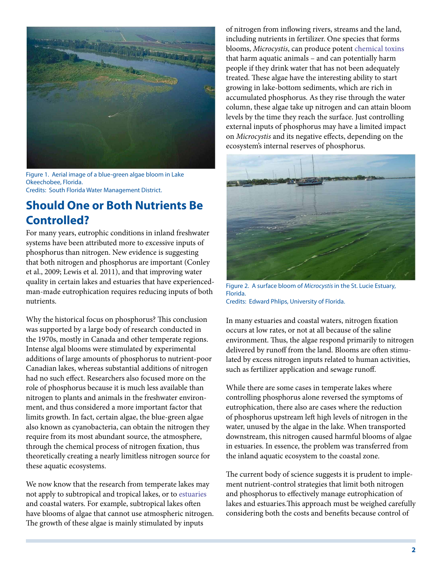

Figure 1. Aerial image of a blue-green algae bloom in Lake Okeechobee, Florida. Credits: South Florida Water Management District.

#### **Should One or Both Nutrients Be Controlled?**

For many years, eutrophic conditions in inland freshwater systems have been attributed more to excessive inputs of phosphorus than nitrogen. New evidence is suggesting that both nitrogen and phosphorus are important (Conley et al., 2009; Lewis et al. 2011), and that improving water quality in certain lakes and estuaries that have experiencedman-made eutrophication requires reducing inputs of both nutrients.

Why the historical focus on phosphorus? This conclusion was supported by a large body of research conducted in the 1970s, mostly in Canada and other temperate regions. Intense algal blooms were stimulated by experimental additions of large amounts of phosphorus to nutrient-poor Canadian lakes, whereas substantial additions of nitrogen had no such effect. Researchers also focused more on the role of phosphorus because it is much less available than nitrogen to plants and animals in the freshwater environment, and thus considered a more important factor that limits growth. In fact, certain algae, the blue-green algae also known as cyanobacteria, can obtain the nitrogen they require from its most abundant source, the atmosphere, through the chemical process of nitrogen fixation, thus theoretically creating a nearly limitless nitrogen source for these aquatic ecosystems.

We now know that the research from temperate lakes may not apply to subtropical and tropical lakes, or to [estuaries](http://www.nerrs.noaa.gov/BGDefault.aspx?ID=403) and coastal waters. For example, subtropical lakes often have blooms of algae that cannot use atmospheric nitrogen. The growth of these algae is mainly stimulated by inputs

of nitrogen from inflowing rivers, streams and the land, including nutrients in fertilizer. One species that forms blooms, *Microcystis*, can produce potent [chemical toxins](http://lakewatch.ifas.ufl.edu/PDFFOLDER2008/FLWVol42.pdf) that harm aquatic animals – and can potentially harm people if they drink water that has not been adequately treated. These algae have the interesting ability to start growing in lake-bottom sediments, which are rich in accumulated phosphorus. As they rise through the water column, these algae take up nitrogen and can attain bloom levels by the time they reach the surface. Just controlling external inputs of phosphorus may have a limited impact on *Microcystis* and its negative effects, depending on the ecosystem's internal reserves of phosphorus.



Figure 2. A surface bloom of *Microcystis* in the St. Lucie Estuary, Florida. Credits: Edward Phlips, University of Florida.

In many estuaries and coastal waters, nitrogen fixation occurs at low rates, or not at all because of the saline environment. Thus, the algae respond primarily to nitrogen delivered by runoff from the land. Blooms are often stimulated by excess nitrogen inputs related to human activities, such as fertilizer application and sewage runoff.

While there are some cases in temperate lakes where controlling phosphorus alone reversed the symptoms of eutrophication, there also are cases where the reduction of phosphorus upstream left high levels of nitrogen in the water, unused by the algae in the lake. When transported downstream, this nitrogen caused harmful blooms of algae in estuaries. In essence, the problem was transferred from the inland aquatic ecosystem to the coastal zone.

The current body of science suggests it is prudent to implement nutrient-control strategies that limit both nitrogen and phosphorus to effectively manage eutrophication of lakes and estuaries.This approach must be weighed carefully considering both the costs and benefits because control of